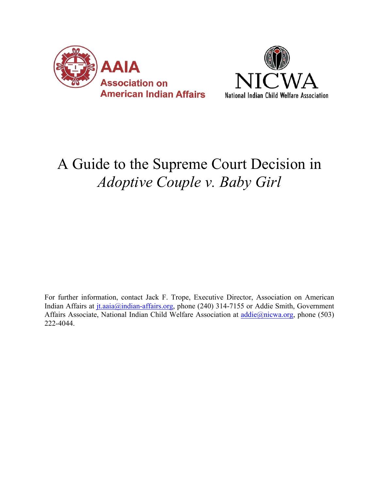



# A Guide to the Supreme Court Decision in *Adoptive Couple v. Baby Girl*

For further information, contact Jack F. Trope, Executive Director, Association on American Indian Affairs at jt.aaia@indian-affairs.org, phone (240) 314-7155 or Addie Smith, Government Affairs Associate, National Indian Child Welfare Association at addie@nicwa.org, phone (503) 222-4044.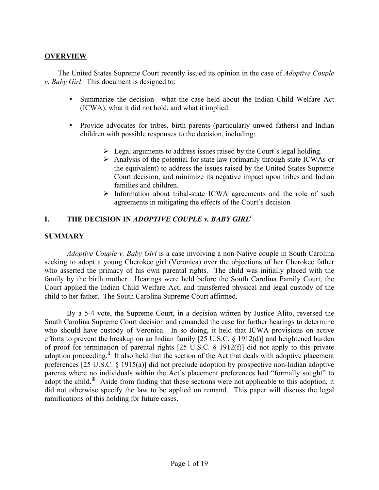## **OVERVIEW**

The United States Supreme Court recently issued its opinion in the case of *Adoptive Couple v. Baby Girl*. This document is designed to:

- Summarize the decision—what the case held about the Indian Child Welfare Act (ICWA), what it did not hold, and what it implied.
- Provide advocates for tribes, birth parents (particularly unwed fathers) and Indian children with possible responses to the decision, including:
	- $\triangleright$  Legal arguments to address issues raised by the Court's legal holding.
	- $\triangleright$  Analysis of the potential for state law (primarily through state ICWAs or the equivalent) to address the issues raised by the United States Supreme Court decision, and minimize its negative impact upon tribes and Indian families and children.
	- $\triangleright$  Information about tribal-state ICWA agreements and the role of such agreements in mitigating the effects of the Court's decision

## **I. THE DECISION IN** *ADOPTIVE COUPLE v. BABY GIRLi*

## **SUMMARY**

*Adoptive Couple v. Baby Girl* is a case involving a non-Native couple in South Carolina seeking to adopt a young Cherokee girl (Veronica) over the objections of her Cherokee father who asserted the primacy of his own parental rights. The child was initially placed with the family by the birth mother. Hearings were held before the South Carolina Family Court, the Court applied the Indian Child Welfare Act, and transferred physical and legal custody of the child to her father. The South Carolina Supreme Court affirmed.

By a 5-4 vote, the Supreme Court, in a decision written by Justice Alito, reversed the South Carolina Supreme Court decision and remanded the case for further hearings to determine who should have custody of Veronica. In so doing, it held that ICWA provisions on active efforts to prevent the breakup on an Indian family [25 U.S.C. § 1912(d)] and heightened burden of proof for termination of parental rights [25 U.S.C. § 1912(f)] did not apply to this private adoption proceeding.<sup>ii</sup> It also held that the section of the Act that deals with adoptive placement preferences [25 U.S.C. § 1915(a)] did not preclude adoption by prospective non-Indian adoptive parents where no individuals within the Act's placement preferences had "formally sought" to adopt the child.<sup>iii</sup> Aside from finding that these sections were not applicable to this adoption, it did not otherwise specify the law to be applied on remand. This paper will discuss the legal ramifications of this holding for future cases.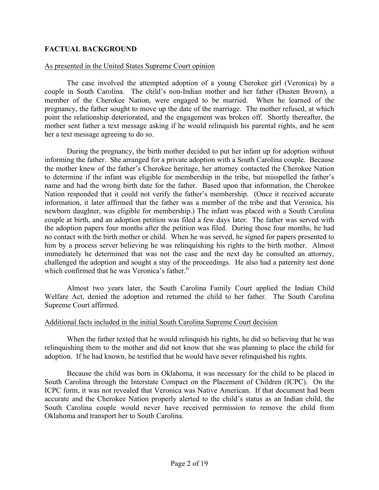## **FACTUAL BACKGROUND**

## As presented in the United States Supreme Court opinion

The case involved the attempted adoption of a young Cherokee girl (Veronica) by a couple in South Carolina. The child's non-Indian mother and her father (Dusten Brown), a member of the Cherokee Nation, were engaged to be married. When he learned of the pregnancy, the father sought to move up the date of the marriage. The mother refused, at which point the relationship deteriorated, and the engagement was broken off. Shortly thereafter, the mother sent father a text message asking if he would relinquish his parental rights, and he sent her a text message agreeing to do so.

During the pregnancy, the birth mother decided to put her infant up for adoption without informing the father. She arranged for a private adoption with a South Carolina couple. Because the mother knew of the father's Cherokee heritage, her attorney contacted the Cherokee Nation to determine if the infant was eligible for membership in the tribe, but misspelled the father's name and had the wrong birth date for the father. Based upon that information, the Cherokee Nation responded that it could not verify the father's membership. (Once it received accurate information, it later affirmed that the father was a member of the tribe and that Veronica, his newborn daughter, was eligible for membership.) The infant was placed with a South Carolina couple at birth, and an adoption petition was filed a few days later. The father was served with the adoption papers four months after the petition was filed. During those four months, he had no contact with the birth mother or child. When he was served, he signed for papers presented to him by a process server believing he was relinquishing his rights to the birth mother. Almost immediately he determined that was not the case and the next day he consulted an attorney, challenged the adoption and sought a stay of the proceedings. He also had a paternity test done which confirmed that he was Veronica's father.<sup>iv</sup>

Almost two years later, the South Carolina Family Court applied the Indian Child Welfare Act, denied the adoption and returned the child to her father. The South Carolina Supreme Court affirmed.

#### Additional facts included in the initial South Carolina Supreme Court decision

When the father texted that he would relinquish his rights, he did so believing that he was relinquishing them to the mother and did not know that she was planning to place the child for adoption. If he had known, he testified that he would have never relinquished his rights.

Because the child was born in Oklahoma, it was necessary for the child to be placed in South Carolina through the Interstate Compact on the Placement of Children (ICPC). On the ICPC form, it was not revealed that Veronica was Native American. If that document had been accurate and the Cherokee Nation properly alerted to the child's status as an Indian child, the South Carolina couple would never have received permission to remove the child from Oklahoma and transport her to South Carolina.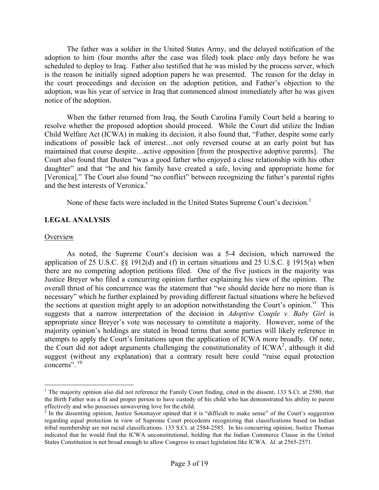The father was a soldier in the United States Army, and the delayed notification of the adoption to him (four months after the case was filed) took place only days before he was scheduled to deploy to Iraq. Father also testified that he was misled by the process server, which is the reason he initially signed adoption papers he was presented. The reason for the delay in the court proceedings and decision on the adoption petition, and Father's objection to the adoption, was his year of service in Iraq that commenced almost immediately after he was given notice of the adoption.

When the father returned from Iraq, the South Carolina Family Court held a hearing to resolve whether the proposed adoption should proceed. While the Court did utilize the Indian Child Welfare Act (ICWA) in making its decision, it also found that, "Father, despite some early indications of possible lack of interest…not only reversed course at an early point but has maintained that course despite…active opposition [from the prospective adoptive parents]. The Court also found that Dusten "was a good father who enjoyed a close relationship with his other daughter" and that "he and his family have created a safe, loving and appropriate home for [Veronica]." The Court also found "no conflict" between recognizing the father's parental rights and the best interests of Veronica.<sup>v</sup>

None of these facts were included in the United States Supreme Court's decision.<sup>1</sup>

## **LEGAL ANALYSIS**

#### **Overview**

As noted, the Supreme Court's decision was a 5-4 decision, which narrowed the application of 25 U.S.C. §§ 1912(d) and (f) in certain situations and 25 U.S.C. § 1915(a) when there are no competing adoption petitions filed. One of the five justices in the majority was Justice Breyer who filed a concurring opinion further explaining his view of the opinion. The overall thrust of his concurrence was the statement that "we should decide here no more than is necessary" which he further explained by providing different factual situations where he believed the sections at question might apply to an adoption notwithstanding the Court's opinion.<sup>vi</sup> This suggests that a narrow interpretation of the decision in *Adoptive Couple v. Baby Girl* is appropriate since Breyer's vote was necessary to constitute a majority. However, some of the majority opinion's holdings are stated in broad terms that some parties will likely reference in attempts to apply the Court's limitations upon the application of ICWA more broadly. Of note, the Court did not adopt arguments challenging the constitutionality of  $ICWA<sup>2</sup>$ , although it did suggest (without any explanation) that a contrary result here could "raise equal protection" concerns". vii

<sup>&</sup>lt;sup>1</sup> The majority opinion also did not reference the Family Court finding, cited in the dissent, 133 S.Ct. at 2580, that the Birth Father was a fit and proper person to have custody of his child who has demonstrated his ability to parent effectively and who possesses unwavering love for the child.

<sup>&</sup>lt;sup>2</sup> In the dissenting opinion, Justice Sotomayor opined that it is "difficult to make sense" of the Court's suggestion regarding equal protection in view of Supreme Court precedents recognizing that classifications based on Indian tribal membership are not racial classifications. 133 S.Ct. at 2584-2585. In his concurring opinion, Justice Thomas indicated that he would find the ICWA unconstitutional, holding that the Indian Commerce Clause in the United States Constitution is not broad enough to allow Congress to enact legislation like ICWA. *Id*. at 2565-2571.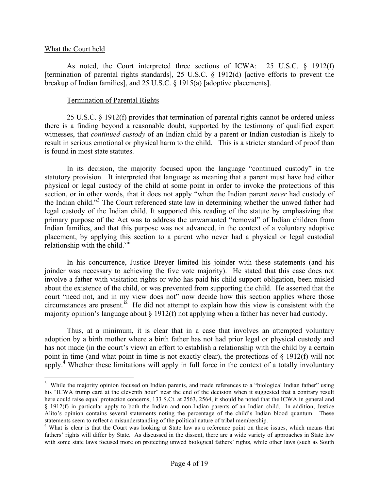#### What the Court held

As noted, the Court interpreted three sections of ICWA: 25 U.S.C. § 1912(f) [termination of parental rights standards], 25 U.S.C. § 1912(d) [active efforts to prevent the breakup of Indian families], and 25 U.S.C. § 1915(a) [adoptive placements].

#### Termination of Parental Rights

25 U.S.C. § 1912(f) provides that termination of parental rights cannot be ordered unless there is a finding beyond a reasonable doubt, supported by the testimony of qualified expert witnesses, that *continued custody* of an Indian child by a parent or Indian custodian is likely to result in serious emotional or physical harm to the child. This is a stricter standard of proof than is found in most state statutes.

In its decision, the majority focused upon the language "continued custody" in the statutory provision. It interpreted that language as meaning that a parent must have had either physical or legal custody of the child at some point in order to invoke the protections of this section, or in other words, that it does not apply "when the Indian parent *never* had custody of the Indian child."<sup>3</sup> The Court referenced state law in determining whether the unwed father had legal custody of the Indian child. It supported this reading of the statute by emphasizing that primary purpose of the Act was to address the unwarranted "removal" of Indian children from Indian families, and that this purpose was not advanced, in the context of a voluntary adoptive placement, by applying this section to a parent who never had a physical or legal custodial relationship with the child.<sup>viii</sup>

In his concurrence, Justice Breyer limited his joinder with these statements (and his joinder was necessary to achieving the five vote majority). He stated that this case does not involve a father with visitation rights or who has paid his child support obligation, been misled about the existence of the child, or was prevented from supporting the child. He asserted that the court "need not, and in my view does not" now decide how this section applies where those circumstances are present.<sup>ix</sup> He did not attempt to explain how this view is consistent with the majority opinion's language about § 1912(f) not applying when a father has never had custody.

Thus, at a minimum, it is clear that in a case that involves an attempted voluntary adoption by a birth mother where a birth father has not had prior legal or physical custody and has not made (in the court's view) an effort to establish a relationship with the child by a certain point in time (and what point in time is not exactly clear), the protections of § 1912(f) will not apply.<sup>4</sup> Whether these limitations will apply in full force in the context of a totally involuntary

 <sup>3</sup> <sup>3</sup> While the majority opinion focused on Indian parents, and made references to a "biological Indian father" using his "ICWA trump card at the eleventh hour" near the end of the decision when it suggested that a contrary result here could raise equal protection concerns, 133 S.Ct. at 2563, 2564, it should be noted that the ICWA in general and § 1912(f) in particular apply to both the Indian and non-Indian parents of an Indian child. In addition, Justice Alito's opinion contains several statements noting the percentage of the child's Indian blood quantum. These statements seem to reflect a misunderstanding of the political nature of tribal membership. 4 What is clear is that the Court was looking at State law as a reference point on these issues, which means that

fathers' rights will differ by State. As discussed in the dissent, there are a wide variety of approaches in State law with some state laws focused more on protecting unwed biological fathers' rights, while other laws (such as South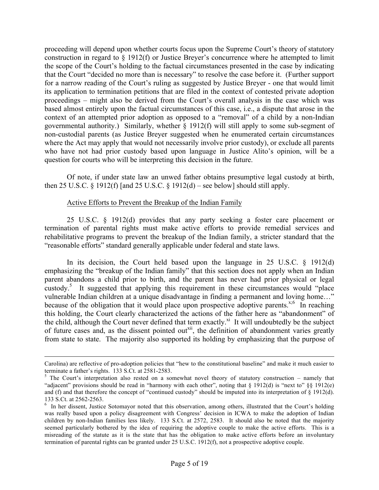proceeding will depend upon whether courts focus upon the Supreme Court's theory of statutory construction in regard to § 1912(f) or Justice Breyer's concurrence where he attempted to limit the scope of the Court's holding to the factual circumstances presented in the case by indicating that the Court "decided no more than is necessary" to resolve the case before it. (Further support for a narrow reading of the Court's ruling as suggested by Justice Breyer - one that would limit its application to termination petitions that are filed in the context of contested private adoption proceedings – might also be derived from the Court's overall analysis in the case which was based almost entirely upon the factual circumstances of this case, i.e., a dispute that arose in the context of an attempted prior adoption as opposed to a "removal" of a child by a non-Indian governmental authority.) Similarly, whether § 1912(f) will still apply to some sub-segment of non-custodial parents (as Justice Breyer suggested when he enumerated certain circumstances where the Act may apply that would not necessarily involve prior custody), or exclude all parents who have not had prior custody based upon language in Justice Alito's opinion, will be a question for courts who will be interpreting this decision in the future.

Of note, if under state law an unwed father obtains presumptive legal custody at birth, then 25 U.S.C. § 1912(f) [and 25 U.S.C. § 1912(d) – see below] should still apply.

## Active Efforts to Prevent the Breakup of the Indian Family

25 U.S.C. § 1912(d) provides that any party seeking a foster care placement or termination of parental rights must make active efforts to provide remedial services and rehabilitative programs to prevent the breakup of the Indian family, a stricter standard that the "reasonable efforts" standard generally applicable under federal and state laws.

In its decision, the Court held based upon the language in 25 U.S.C. § 1912(d) emphasizing the "breakup of the Indian family" that this section does not apply when an Indian parent abandons a child prior to birth, and the parent has never had prior physical or legal custody.<sup>5</sup> It suggested that applying this requirement in these circumstances would "place vulnerable Indian children at a unique disadvantage in finding a permanent and loving home…" because of the obligation that it would place upon prospective adoptive parents.<sup> $x,6$ </sup> In reaching this holding, the Court clearly characterized the actions of the father here as "abandonment" of the child, although the Court never defined that term exactly.<sup>xi</sup> It will undoubtedly be the subject of future cases and, as the dissent pointed out<sup>xii</sup>, the definition of abandonment varies greatly from state to state. The majority also supported its holding by emphasizing that the purpose of

Carolina) are reflective of pro-adoption policies that "hew to the constitutional baseline" and make it much easier to terminate a father's rights. 133 S.Ct. at 2581-2583.<br>
<sup>5</sup> The Court's interpretation also rested on a somewhat novel theory of statutory construction – namely that

<sup>&</sup>quot;adjacent" provisions should be read in "harmony with each other", noting that § 1912(d) is "next to" §§ 1912(e) and (f) and that therefore the concept of "continued custody" should be imputed into its interpretation of  $\S$  1912(d). 133 S.Ct. at 2562-2563. <sup>6</sup>

<sup>&</sup>lt;sup>6</sup> In her dissent, Justice Sotomayor noted that this observation, among others, illustrated that the Court's holding was really based upon a policy disagreement with Congress' decision in ICWA to make the adoption of Indian children by non-Indian families less likely. 133 S.Ct. at 2572, 2583. It should also be noted that the majority seemed particularly bothered by the idea of requiring the adoptive couple to make the active efforts. This is a misreading of the statute as it is the state that has the obligation to make active efforts before an involuntary termination of parental rights can be granted under 25 U.S.C. 1912(f), not a prospective adoptive couple.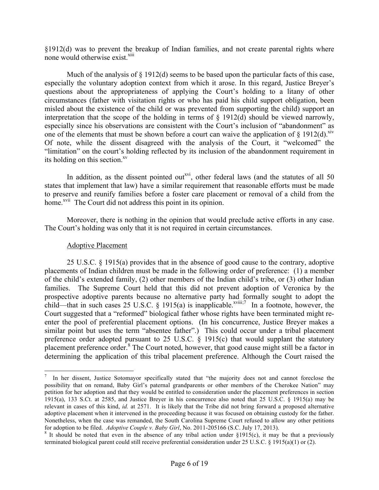§1912(d) was to prevent the breakup of Indian families, and not create parental rights where none would otherwise exist.<sup>xiii</sup>

Much of the analysis of  $\S$  1912(d) seems to be based upon the particular facts of this case, especially the voluntary adoption context from which it arose. In this regard, Justice Breyer's questions about the appropriateness of applying the Court's holding to a litany of other circumstances (father with visitation rights or who has paid his child support obligation, been misled about the existence of the child or was prevented from supporting the child) support an interpretation that the scope of the holding in terms of § 1912(d) should be viewed narrowly, especially since his observations are consistent with the Court's inclusion of "abandonment" as one of the elements that must be shown before a court can waive the application of  $\S$  1912(d).<sup>xiv</sup> Of note, while the dissent disagreed with the analysis of the Court, it "welcomed" the "limitation" on the court's holding reflected by its inclusion of the abandonment requirement in its holding on this section. $x<sup>x<sub>v</sub></sup>$ 

In addition, as the dissent pointed out<sup>xvi</sup>, other federal laws (and the statutes of all 50 states that implement that law) have a similar requirement that reasonable efforts must be made to preserve and reunify families before a foster care placement or removal of a child from the home.<sup>xvii</sup> The Court did not address this point in its opinion.

Moreover, there is nothing in the opinion that would preclude active efforts in any case. The Court's holding was only that it is not required in certain circumstances.

#### Adoptive Placement

25 U.S.C. § 1915(a) provides that in the absence of good cause to the contrary, adoptive placements of Indian children must be made in the following order of preference: (1) a member of the child's extended family, (2) other members of the Indian child's tribe, or (3) other Indian families. The Supreme Court held that this did not prevent adoption of Veronica by the prospective adoptive parents because no alternative party had formally sought to adopt the child—that in such cases 25 U.S.C. § 1915(a) is inapplicable.<sup>xviii;7</sup> In a footnote, however, the Court suggested that a "reformed" biological father whose rights have been terminated might reenter the pool of preferential placement options. (In his concurrence, Justice Breyer makes a similar point but uses the term "absentee father".) This could occur under a tribal placement preference order adopted pursuant to 25 U.S.C. § 1915(c) that would supplant the statutory placement preference order.<sup>8</sup> The Court noted, however, that good cause might still be a factor in determining the application of this tribal placement preference. Although the Court raised the

<sup>&</sup>lt;sup>-</sup> In her dissent, Justice Sotomayor specifically stated that "the majority does not and cannot foreclose the possibility that on remand, Baby Girl's paternal grandparents or other members of the Cherokee Nation" may petition for her adoption and that they would be entitled to consideration under the placement preferences in section 1915(a), 133 S.Ct. at 2585, and Justice Breyer in his concurrence also noted that 25 U.S.C. § 1915(a) may be relevant in cases of this kind, *id.* at 2571. It is likely that the Tribe did not bring forward a proposed alternative adoptive placement when it intervened in the proceeding because it was focused on obtaining custody for the father. Nonetheless, when the case was remanded, the South Carolina Supreme Court refused to allow any other petitions for adoption to be filed. *Adoptive Couple v. Baby Girl*, No. 2011-205166 (S.C. July 17, 2013). <sup>8</sup> It should be noted that even in the absence of any tribal action under §1915(c), it may be that a previously

terminated biological parent could still receive preferential consideration under 25 U.S.C. § 1915(a)(1) or (2).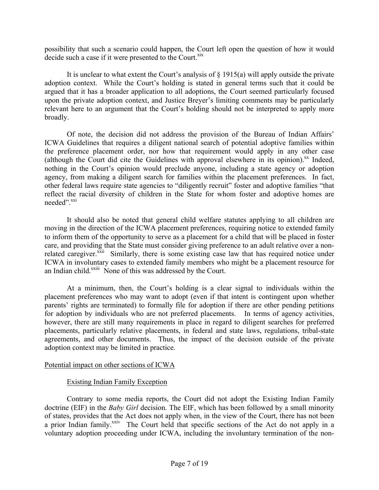possibility that such a scenario could happen, the Court left open the question of how it would decide such a case if it were presented to the Court. $\frac{x}{x}$ 

It is unclear to what extent the Court's analysis of  $\S$  1915(a) will apply outside the private adoption context. While the Court's holding is stated in general terms such that it could be argued that it has a broader application to all adoptions, the Court seemed particularly focused upon the private adoption context, and Justice Breyer's limiting comments may be particularly relevant here to an argument that the Court's holding should not be interpreted to apply more broadly.

Of note, the decision did not address the provision of the Bureau of Indian Affairs' ICWA Guidelines that requires a diligent national search of potential adoptive families within the preference placement order, nor how that requirement would apply in any other case (although the Court did cite the Guidelines with approval elsewhere in its opinion). $^{xx}$  Indeed, nothing in the Court's opinion would preclude anyone, including a state agency or adoption agency, from making a diligent search for families within the placement preferences. In fact, other federal laws require state agencies to "diligently recruit" foster and adoptive families "that reflect the racial diversity of children in the State for whom foster and adoptive homes are needed".<sup>xxi</sup>

It should also be noted that general child welfare statutes applying to all children are moving in the direction of the ICWA placement preferences, requiring notice to extended family to inform them of the opportunity to serve as a placement for a child that will be placed in foster care, and providing that the State must consider giving preference to an adult relative over a nonrelated caregiver.<sup>xxii</sup> Similarly, there is some existing case law that has required notice under ICWA in involuntary cases to extended family members who might be a placement resource for an Indian child.<sup>xxiii</sup> None of this was addressed by the Court.

At a minimum, then, the Court's holding is a clear signal to individuals within the placement preferences who may want to adopt (even if that intent is contingent upon whether parents' rights are terminated) to formally file for adoption if there are other pending petitions for adoption by individuals who are not preferred placements. In terms of agency activities, however, there are still many requirements in place in regard to diligent searches for preferred placements, particularly relative placements, in federal and state laws, regulations, tribal-state agreements, and other documents. Thus, the impact of the decision outside of the private adoption context may be limited in practice.

#### Potential impact on other sections of ICWA

## Existing Indian Family Exception

Contrary to some media reports, the Court did not adopt the Existing Indian Family doctrine (EIF) in the *Baby Girl* decision. The EIF, which has been followed by a small minority of states, provides that the Act does not apply when, in the view of the Court, there has not been a prior Indian family.<sup>xxiv</sup> The Court held that specific sections of the Act do not apply in a voluntary adoption proceeding under ICWA, including the involuntary termination of the non-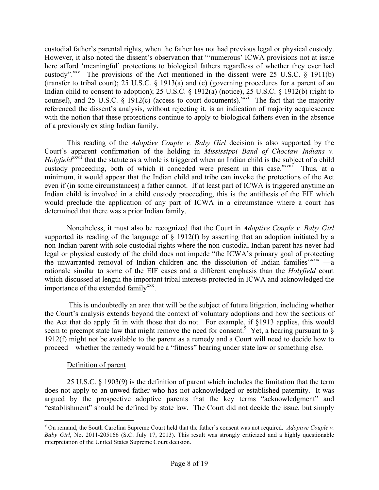custodial father's parental rights, when the father has not had previous legal or physical custody. However, it also noted the dissent's observation that "'numerous' ICWA provisions not at issue here afford 'meaningful' protections to biological fathers regardless of whether they ever had custody".<sup>XXV</sup> The provisions of the Act mentioned in the dissent were 25 U.S.C.  $\S$  1911(b) (transfer to tribal court); 25 U.S.C. § 1913(a) and (c) (governing procedures for a parent of an Indian child to consent to adoption); 25 U.S.C. § 1912(a) (notice), 25 U.S.C. § 1912(b) (right to counsel), and 25 U.S.C. § 1912(c) (access to court documents).<sup>xxvi</sup> The fact that the majority referenced the dissent's analysis, without rejecting it, is an indication of majority acquiescence with the notion that these protections continue to apply to biological fathers even in the absence of a previously existing Indian family.

This reading of the *Adoptive Couple v. Baby Girl* decision is also supported by the Court's apparent confirmation of the holding in *Mississippi Band of Choctaw Indians v. Holyfield*<sup>xxvii</sup> that the statute as a whole is triggered when an Indian child is the subject of a child custody proceeding, both of which it conceded were present in this case.<sup>xxviii</sup> Thus, at a minimum, it would appear that the Indian child and tribe can invoke the protections of the Act even if (in some circumstances) a father cannot. If at least part of ICWA is triggered anytime an Indian child is involved in a child custody proceeding, this is the antithesis of the EIF which would preclude the application of any part of ICWA in a circumstance where a court has determined that there was a prior Indian family.

Nonetheless, it must also be recognized that the Court in *Adoptive Couple v. Baby Girl* supported its reading of the language of § 1912(f) by asserting that an adoption initiated by a non-Indian parent with sole custodial rights where the non-custodial Indian parent has never had legal or physical custody of the child does not impede "the ICWA's primary goal of protecting the unwarranted removal of Indian children and the dissolution of Indian families" $x$ xxix —a rationale similar to some of the EIF cases and a different emphasis than the *Holyfield* court which discussed at length the important tribal interests protected in ICWA and acknowledged the importance of the extended family<sup>xxx</sup>.

This is undoubtedly an area that will be the subject of future litigation, including whether the Court's analysis extends beyond the context of voluntary adoptions and how the sections of the Act that do apply fit in with those that do not. For example, if §1913 applies, this would seem to preempt state law that might remove the need for consent.  $9 \text{ Yet}, \text{ a hearing pursuit to } \text{§}$ 1912(f) might not be available to the parent as a remedy and a Court will need to decide how to proceed—whether the remedy would be a "fitness" hearing under state law or something else.

## Definition of parent

25 U.S.C. § 1903(9) is the definition of parent which includes the limitation that the term does not apply to an unwed father who has not acknowledged or established paternity. It was argued by the prospective adoptive parents that the key terms "acknowledgment" and "establishment" should be defined by state law. The Court did not decide the issue, but simply

 <sup>9</sup> On remand, the South Carolina Supreme Court held that the father's consent was not required. *Adoptive Couple v. Baby Girl*, No. 2011-205166 (S.C. July 17, 2013). This result was strongly criticized and a highly questionable interpretation of the United States Supreme Court decision.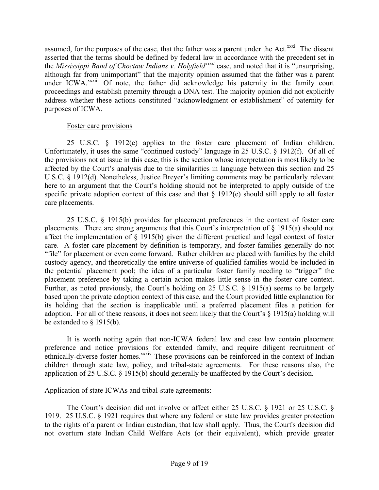assumed, for the purposes of the case, that the father was a parent under the Act.<sup>xxxi</sup> The dissent asserted that the terms should be defined by federal law in accordance with the precedent set in the *Mississippi Band of Choctaw Indians v. Holyfieldxxxii* case, and noted that it is "unsurprising, although far from unimportant" that the majority opinion assumed that the father was a parent under ICWA.<sup>xxxiii</sup> Of note, the father did acknowledge his paternity in the family court proceedings and establish paternity through a DNA test. The majority opinion did not explicitly address whether these actions constituted "acknowledgment or establishment" of paternity for purposes of ICWA.

## Foster care provisions

25 U.S.C. § 1912(e) applies to the foster care placement of Indian children. Unfortunately, it uses the same "continued custody" language in 25 U.S.C. § 1912(f). Of all of the provisions not at issue in this case, this is the section whose interpretation is most likely to be affected by the Court's analysis due to the similarities in language between this section and 25 U.S.C. § 1912(d). Nonetheless, Justice Breyer's limiting comments may be particularly relevant here to an argument that the Court's holding should not be interpreted to apply outside of the specific private adoption context of this case and that  $\S$  1912(e) should still apply to all foster care placements.

25 U.S.C. § 1915(b) provides for placement preferences in the context of foster care placements. There are strong arguments that this Court's interpretation of § 1915(a) should not affect the implementation of § 1915(b) given the different practical and legal context of foster care. A foster care placement by definition is temporary, and foster families generally do not "file" for placement or even come forward. Rather children are placed with families by the child custody agency, and theoretically the entire universe of qualified families would be included in the potential placement pool; the idea of a particular foster family needing to "trigger" the placement preference by taking a certain action makes little sense in the foster care context. Further, as noted previously, the Court's holding on 25 U.S.C. § 1915(a) seems to be largely based upon the private adoption context of this case, and the Court provided little explanation for its holding that the section is inapplicable until a preferred placement files a petition for adoption. For all of these reasons, it does not seem likely that the Court's  $\S$  1915(a) holding will be extended to § 1915(b).

It is worth noting again that non-ICWA federal law and case law contain placement preference and notice provisions for extended family, and require diligent recruitment of ethnically-diverse foster homes.<sup>xxxiv</sup> These provisions can be reinforced in the context of Indian children through state law, policy, and tribal-state agreements. For these reasons also, the application of 25 U.S.C. § 1915(b) should generally be unaffected by the Court's decision.

#### Application of state ICWAs and tribal-state agreements:

The Court's decision did not involve or affect either 25 U.S.C. § 1921 or 25 U.S.C. § 1919. 25 U.S.C. § 1921 requires that where any federal or state law provides greater protection to the rights of a parent or Indian custodian, that law shall apply. Thus, the Court's decision did not overturn state Indian Child Welfare Acts (or their equivalent), which provide greater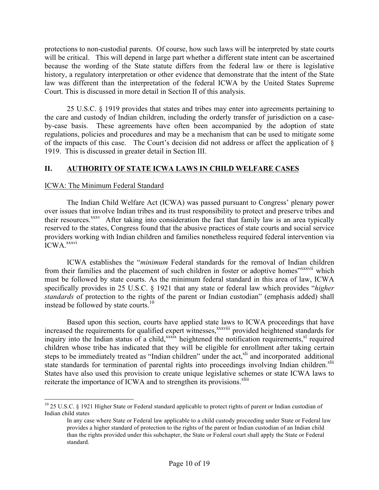protections to non-custodial parents. Of course, how such laws will be interpreted by state courts will be critical. This will depend in large part whether a different state intent can be ascertained because the wording of the State statute differs from the federal law or there is legislative history, a regulatory interpretation or other evidence that demonstrate that the intent of the State law was different than the interpretation of the federal ICWA by the United States Supreme Court. This is discussed in more detail in Section II of this analysis.

25 U.S.C. § 1919 provides that states and tribes may enter into agreements pertaining to the care and custody of Indian children, including the orderly transfer of jurisdiction on a caseby-case basis. These agreements have often been accompanied by the adoption of state regulations, policies and procedures and may be a mechanism that can be used to mitigate some of the impacts of this case. The Court's decision did not address or affect the application of § 1919. This is discussed in greater detail in Section III.

## **II. AUTHORITY OF STATE ICWA LAWS IN CHILD WELFARE CASES**

## ICWA: The Minimum Federal Standard

The Indian Child Welfare Act (ICWA) was passed pursuant to Congress' plenary power over issues that involve Indian tribes and its trust responsibility to protect and preserve tribes and their resources.<sup>xxxv</sup> After taking into consideration the fact that family law is an area typically reserved to the states, Congress found that the abusive practices of state courts and social service providers working with Indian children and families nonetheless required federal intervention via ICWA.<sup>xxxvi</sup>

ICWA establishes the "*minimum* Federal standards for the removal of Indian children from their families and the placement of such children in foster or adoptive homes"<sup>xxxvii</sup> which must be followed by state courts. As the minimum federal standard in this area of law, ICWA specifically provides in 25 U.S.C. § 1921 that any state or federal law which provides "*higher standards* of protection to the rights of the parent or Indian custodian" (emphasis added) shall instead be followed by state courts.<sup>10</sup>

Based upon this section, courts have applied state laws to ICWA proceedings that have increased the requirements for qualified expert witnesses,<sup>xxxviii</sup> provided heightened standards for inquiry into the Indian status of a child,<sup>xxxix</sup> heightened the notification requirements,<sup>xl</sup> required children whose tribe has indicated that they will be eligible for enrollment after taking certain steps to be immediately treated as "Indian children" under the act,<sup>xli</sup> and incorporated additional state standards for termination of parental rights into proceedings involving Indian children.<sup>xlii</sup> States have also used this provision to create unique legislative schemes or state ICWA laws to reiterate the importance of ICWA and to strengthen its provisions.<sup>xliii</sup>

<sup>&</sup>lt;sup>10</sup> 25 U.S.C. § 1921 Higher State or Federal standard applicable to protect rights of parent or Indian custodian of Indian child states

In any case where State or Federal law applicable to a child custody proceeding under State or Federal law provides a higher standard of protection to the rights of the parent or Indian custodian of an Indian child than the rights provided under this subchapter, the State or Federal court shall apply the State or Federal standard.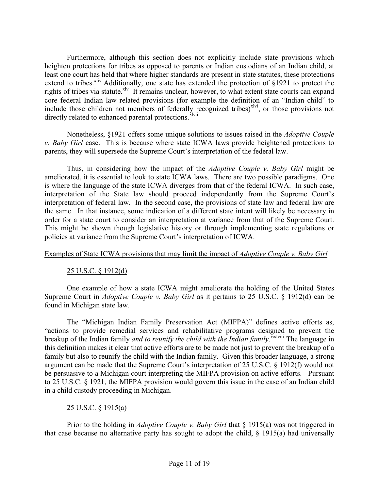Furthermore, although this section does not explicitly include state provisions which heighten protections for tribes as opposed to parents or Indian custodians of an Indian child, at least one court has held that where higher standards are present in state statutes, these protections extend to tribes.<sup>xliv</sup> Additionally, one state has extended the protection of  $$1921$  to protect the rights of tribes via statute.<sup>xlv</sup> It remains unclear, however, to what extent state courts can expand core federal Indian law related provisions (for example the definition of an "Indian child" to include those children not members of federally recognized tribes) $x^2$ , or those provisions not directly related to enhanced parental protections.<sup>xlvii</sup>

Nonetheless, §1921 offers some unique solutions to issues raised in the *Adoptive Couple v. Baby Girl* case. This is because where state ICWA laws provide heightened protections to parents, they will supersede the Supreme Court's interpretation of the federal law.

Thus, in considering how the impact of the *Adoptive Couple v. Baby Girl* might be ameliorated, it is essential to look to state ICWA laws. There are two possible paradigms. One is where the language of the state ICWA diverges from that of the federal ICWA. In such case, interpretation of the State law should proceed independently from the Supreme Court's interpretation of federal law. In the second case, the provisions of state law and federal law are the same. In that instance, some indication of a different state intent will likely be necessary in order for a state court to consider an interpretation at variance from that of the Supreme Court. This might be shown though legislative history or through implementing state regulations or policies at variance from the Supreme Court's interpretation of ICWA.

## Examples of State ICWA provisions that may limit the impact of *Adoptive Couple v. Baby Girl*

## 25 U.S.C. § 1912(d)

One example of how a state ICWA might ameliorate the holding of the United States Supreme Court in *Adoptive Couple v. Baby Girl* as it pertains to 25 U.S.C. § 1912(d) can be found in Michigan state law.

The "Michigan Indian Family Preservation Act (MIFPA)" defines active efforts as, "actions to provide remedial services and rehabilitative programs designed to prevent the breakup of the Indian family *and to reunify the child with the Indian family*."xlviii The language in this definition makes it clear that active efforts are to be made not just to prevent the breakup of a family but also to reunify the child with the Indian family. Given this broader language, a strong argument can be made that the Supreme Court's interpretation of 25 U.S.C. § 1912(f) would not be persuasive to a Michigan court interpreting the MIFPA provision on active efforts. Pursuant to 25 U.S.C. § 1921, the MIFPA provision would govern this issue in the case of an Indian child in a child custody proceeding in Michigan.

#### 25 U.S.C. § 1915(a)

Prior to the holding in *Adoptive Couple v. Baby Girl* that § 1915(a) was not triggered in that case because no alternative party has sought to adopt the child,  $\S$  1915(a) had universally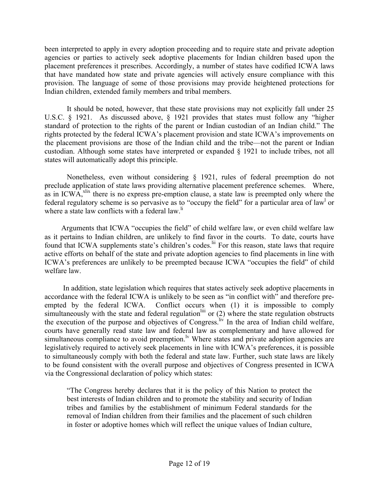been interpreted to apply in every adoption proceeding and to require state and private adoption agencies or parties to actively seek adoptive placements for Indian children based upon the placement preferences it prescribes. Accordingly, a number of states have codified ICWA laws that have mandated how state and private agencies will actively ensure compliance with this provision. The language of some of those provisions may provide heightened protections for Indian children, extended family members and tribal members.

It should be noted, however, that these state provisions may not explicitly fall under 25 U.S.C. § 1921. As discussed above, § 1921 provides that states must follow any "higher standard of protection to the rights of the parent or Indian custodian of an Indian child." The rights protected by the federal ICWA's placement provision and state ICWA's improvements on the placement provisions are those of the Indian child and the tribe—not the parent or Indian custodian. Although some states have interpreted or expanded § 1921 to include tribes, not all states will automatically adopt this principle.

Nonetheless, even without considering § 1921, rules of federal preemption do not preclude application of state laws providing alternative placement preference schemes. Where, as in ICWA, $x$ <sup>lix</sup> there is no express pre-emption clause, a state law is preempted only where the federal regulatory scheme is so pervasive as to "occupy the field" for a particular area of law<sup>1</sup> or where a state law conflicts with a federal law.<sup>li</sup>

Arguments that ICWA "occupies the field" of child welfare law, or even child welfare law as it pertains to Indian children, are unlikely to find favor in the courts. To date, courts have found that ICWA supplements state's children's codes.<sup>lii</sup> For this reason, state laws that require active efforts on behalf of the state and private adoption agencies to find placements in line with ICWA's preferences are unlikely to be preempted because ICWA "occupies the field" of child welfare law.

In addition, state legislation which requires that states actively seek adoptive placements in accordance with the federal ICWA is unlikely to be seen as "in conflict with" and therefore preempted by the federal ICWA. Conflict occurs when (1) it is impossible to comply simultaneously with the state and federal regulation  $\lim_{n \to \infty}$  or (2) where the state regulation obstructs the execution of the purpose and objectives of Congress.<sup>liv</sup> In the area of Indian child welfare, courts have generally read state law and federal law as complementary and have allowed for simultaneous compliance to avoid preemption.<sup> $\nu$ </sup> Where states and private adoption agencies are legislatively required to actively seek placements in line with ICWA's preferences, it is possible to simultaneously comply with both the federal and state law. Further, such state laws are likely to be found consistent with the overall purpose and objectives of Congress presented in ICWA via the Congressional declaration of policy which states:

"The Congress hereby declares that it is the policy of this Nation to protect the best interests of Indian children and to promote the stability and security of Indian tribes and families by the establishment of minimum Federal standards for the removal of Indian children from their families and the placement of such children in foster or adoptive homes which will reflect the unique values of Indian culture,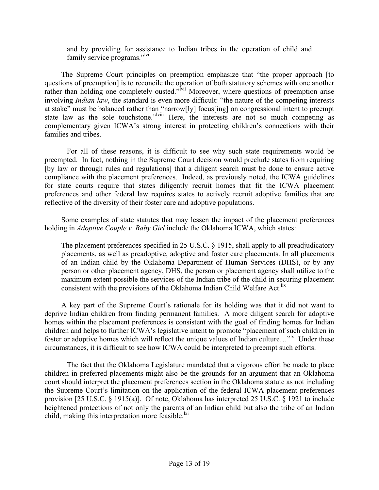and by providing for assistance to Indian tribes in the operation of child and family service programs."<sup>lvi</sup>

The Supreme Court principles on preemption emphasize that "the proper approach [to questions of preemption] is to reconcile the operation of both statutory schemes with one another rather than holding one completely ousted."<sup>Ivii</sup> Moreover, where questions of preemption arise involving *Indian law*, the standard is even more difficult: "the nature of the competing interests at stake" must be balanced rather than "narrow[ly] focus[ing] on congressional intent to preempt state law as the sole touchstone."<sup>Iviii</sup> Here, the interests are not so much competing as complementary given ICWA's strong interest in protecting children's connections with their families and tribes.

For all of these reasons, it is difficult to see why such state requirements would be preempted. In fact, nothing in the Supreme Court decision would preclude states from requiring [by law or through rules and regulations] that a diligent search must be done to ensure active compliance with the placement preferences. Indeed, as previously noted, the ICWA guidelines for state courts require that states diligently recruit homes that fit the ICWA placement preferences and other federal law requires states to actively recruit adoptive families that are reflective of the diversity of their foster care and adoptive populations.

Some examples of state statutes that may lessen the impact of the placement preferences holding in *Adoptive Couple v. Baby Girl* include the Oklahoma ICWA, which states:

The placement preferences specified in 25 U.S.C. § 1915, shall apply to all preadjudicatory placements, as well as preadoptive, adoptive and foster care placements. In all placements of an Indian child by the Oklahoma Department of Human Services (DHS), or by any person or other placement agency, DHS, the person or placement agency shall utilize to the maximum extent possible the services of the Indian tribe of the child in securing placement consistent with the provisions of the Oklahoma Indian Child Welfare Act.<sup>lix</sup>

A key part of the Supreme Court's rationale for its holding was that it did not want to deprive Indian children from finding permanent families. A more diligent search for adoptive homes within the placement preferences is consistent with the goal of finding homes for Indian children and helps to further ICWA's legislative intent to promote "placement of such children in foster or adoptive homes which will reflect the unique values of Indian culture..."<sup>1x</sup> Under these circumstances, it is difficult to see how ICWA could be interpreted to preempt such efforts.

The fact that the Oklahoma Legislature mandated that a vigorous effort be made to place children in preferred placements might also be the grounds for an argument that an Oklahoma court should interpret the placement preferences section in the Oklahoma statute as not including the Supreme Court's limitation on the application of the federal ICWA placement preferences provision [25 U.S.C. § 1915(a)]. Of note, Oklahoma has interpreted 25 U.S.C. § 1921 to include heightened protections of not only the parents of an Indian child but also the tribe of an Indian child, making this interpretation more feasible.<sup>1xi</sup>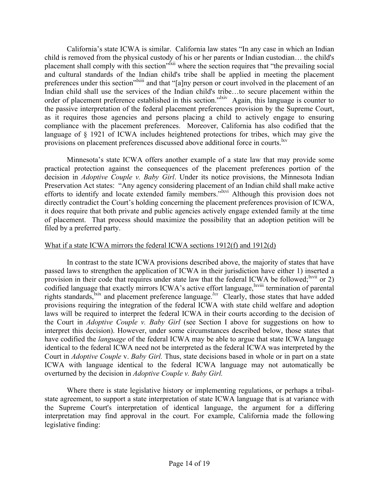California's state ICWA is similar. California law states "In any case in which an Indian child is removed from the physical custody of his or her parents or Indian custodian… the child's placement shall comply with this section<sup>" kii</sup> where the section requires that "the prevailing social" and cultural standards of the Indian child's tribe shall be applied in meeting the placement preferences under this section"<sup>lxiii</sup> and that "[a]ny person or court involved in the placement of an Indian child shall use the services of the Indian child's tribe…to secure placement within the order of placement preference established in this section."<sup>Ixiv</sup> Again, this language is counter to the passive interpretation of the federal placement preferences provision by the Supreme Court, as it requires those agencies and persons placing a child to actively engage to ensuring compliance with the placement preferences. Moreover, California has also codified that the language of § 1921 of ICWA includes heightened protections for tribes, which may give the provisions on placement preferences discussed above additional force in courts.<sup>lxv</sup>

Minnesota's state ICWA offers another example of a state law that may provide some practical protection against the consequences of the placement preferences portion of the decision in *Adoptive Couple v. Baby Girl*. Under its notice provisions, the Minnesota Indian Preservation Act states: "Any agency considering placement of an Indian child shall make active efforts to identify and locate extended family members."<sup>Ixvi</sup> Although this provision does not directly contradict the Court's holding concerning the placement preferences provision of ICWA, it does require that both private and public agencies actively engage extended family at the time of placement. That process should maximize the possibility that an adoption petition will be filed by a preferred party.

## What if a state ICWA mirrors the federal ICWA sections 1912(f) and 1912(d)

In contrast to the state ICWA provisions described above, the majority of states that have passed laws to strengthen the application of ICWA in their jurisdiction have either 1) inserted a provision in their code that requires under state law that the federal ICWA be followed;  $\frac{2}{x}$  or 2) codified language that exactly mirrors ICWA's active effort language, <sup>lxviii</sup> termination of parental rights standards,<sup>1xix</sup> and placement preference language.<sup>*kx*</sup> Clearly, those states that have added provisions requiring the integration of the federal ICWA with state child welfare and adoption laws will be required to interpret the federal ICWA in their courts according to the decision of the Court in *Adoptive Couple v. Baby Girl* (see Section I above for suggestions on how to interpret this decision). However, under some circumstances described below, those states that have codified the *language* of the federal ICWA may be able to argue that state ICWA language identical to the federal ICWA need not be interpreted as the federal ICWA was interpreted by the Court in *Adoptive Couple* v. *Baby Girl.* Thus, state decisions based in whole or in part on a state ICWA with language identical to the federal ICWA language may not automatically be overturned by the decision in *Adoptive Couple v. Baby Girl.*

Where there is state legislative history or implementing regulations, or perhaps a tribalstate agreement, to support a state interpretation of state ICWA language that is at variance with the Supreme Court's interpretation of identical language, the argument for a differing interpretation may find approval in the court. For example, California made the following legislative finding: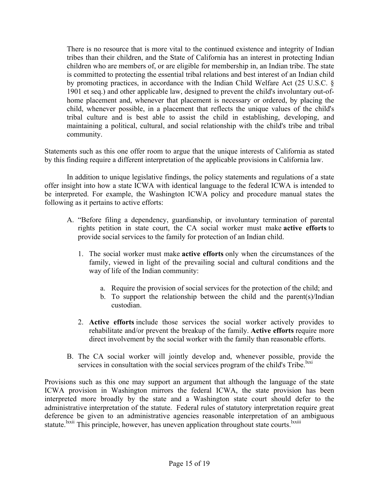There is no resource that is more vital to the continued existence and integrity of Indian tribes than their children, and the State of California has an interest in protecting Indian children who are members of, or are eligible for membership in, an Indian tribe. The state is committed to protecting the essential tribal relations and best interest of an Indian child by promoting practices, in accordance with the Indian Child Welfare Act (25 U.S.C. § 1901 et seq.) and other applicable law, designed to prevent the child's involuntary out-ofhome placement and, whenever that placement is necessary or ordered, by placing the child, whenever possible, in a placement that reflects the unique values of the child's tribal culture and is best able to assist the child in establishing, developing, and maintaining a political, cultural, and social relationship with the child's tribe and tribal community.

Statements such as this one offer room to argue that the unique interests of California as stated by this finding require a different interpretation of the applicable provisions in California law.

In addition to unique legislative findings, the policy statements and regulations of a state offer insight into how a state ICWA with identical language to the federal ICWA is intended to be interpreted. For example, the Washington ICWA policy and procedure manual states the following as it pertains to active efforts:

- A. "Before filing a dependency, guardianship, or involuntary termination of parental rights petition in state court, the CA social worker must make **active efforts** to provide social services to the family for protection of an Indian child.
	- 1. The social worker must make **active efforts** only when the circumstances of the family, viewed in light of the prevailing social and cultural conditions and the way of life of the Indian community:
		- a. Require the provision of social services for the protection of the child; and
		- b. To support the relationship between the child and the parent(s)/Indian custodian.
	- 2. **Active efforts** include those services the social worker actively provides to rehabilitate and/or prevent the breakup of the family. **Active efforts** require more direct involvement by the social worker with the family than reasonable efforts.
- B. The CA social worker will jointly develop and, whenever possible, provide the services in consultation with the social services program of the child's Tribe.<sup>lxxi</sup>

Provisions such as this one may support an argument that although the language of the state ICWA provision in Washington mirrors the federal ICWA, the state provision has been interpreted more broadly by the state and a Washington state court should defer to the administrative interpretation of the statute. Federal rules of statutory interpretation require great deference be given to an administrative agencies reasonable interpretation of an ambiguous statute.<sup>Ixxii</sup> This principle, however, has uneven application throughout state courts.<sup>Ixxiii</sup>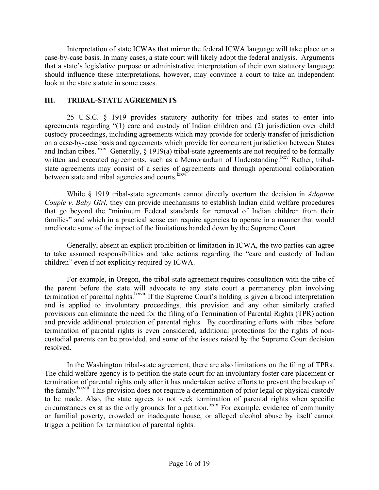Interpretation of state ICWAs that mirror the federal ICWA language will take place on a case-by-case basis. In many cases, a state court will likely adopt the federal analysis. Arguments that a state's legislative purpose or administrative interpretation of their own statutory language should influence these interpretations, however, may convince a court to take an independent look at the state statute in some cases.

## **III. TRIBAL-STATE AGREEMENTS**

25 U.S.C. § 1919 provides statutory authority for tribes and states to enter into agreements regarding "(1) care and custody of Indian children and (2) jurisdiction over child custody proceedings, including agreements which may provide for orderly transfer of jurisdiction on a case-by-case basis and agreements which provide for concurrent jurisdiction between States and Indian tribes.<sup>lxxiv</sup> Generally,  $\S$  1919(a) tribal-state agreements are not required to be formally written and executed agreements, such as a Memorandum of Understanding.<sup>lxxv</sup> Rather, tribalstate agreements may consist of a series of agreements and through operational collaboration between state and tribal agencies and courts.<sup>lxxvi</sup>

While § 1919 tribal-state agreements cannot directly overturn the decision in *Adoptive Couple v. Baby Girl*, they can provide mechanisms to establish Indian child welfare procedures that go beyond the "minimum Federal standards for removal of Indian children from their families" and which in a practical sense can require agencies to operate in a manner that would ameliorate some of the impact of the limitations handed down by the Supreme Court.

Generally, absent an explicit prohibition or limitation in ICWA, the two parties can agree to take assumed responsibilities and take actions regarding the "care and custody of Indian children" even if not explicitly required by ICWA.

For example, in Oregon, the tribal-state agreement requires consultation with the tribe of the parent before the state will advocate to any state court a permanency plan involving termination of parental rights.<sup>1xxvii</sup> If the Supreme Court's holding is given a broad interpretation and is applied to involuntary proceedings, this provision and any other similarly crafted provisions can eliminate the need for the filing of a Termination of Parental Rights (TPR) action and provide additional protection of parental rights. By coordinating efforts with tribes before termination of parental rights is even considered, additional protections for the rights of noncustodial parents can be provided, and some of the issues raised by the Supreme Court decision resolved.

In the Washington tribal-state agreement, there are also limitations on the filing of TPRs. The child welfare agency is to petition the state court for an involuntary foster care placement or termination of parental rights only after it has undertaken active efforts to prevent the breakup of the family.lxxviii This provision does not require a determination of prior legal or physical custody to be made. Also, the state agrees to not seek termination of parental rights when specific circumstances exist as the only grounds for a petition.lxxix For example, evidence of community or familial poverty, crowded or inadequate house, or alleged alcohol abuse by itself cannot trigger a petition for termination of parental rights.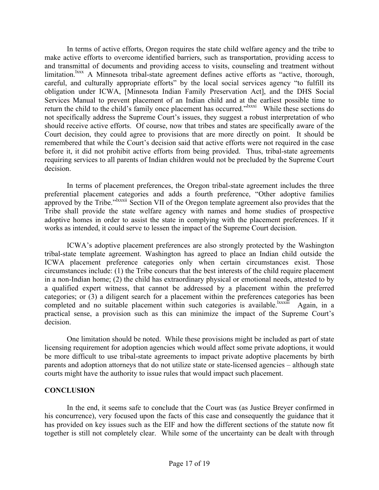In terms of active efforts, Oregon requires the state child welfare agency and the tribe to make active efforts to overcome identified barriers, such as transportation, providing access to and transmittal of documents and providing access to visits, counseling and treatment without limitation.<sup>lxxx</sup> A Minnesota tribal-state agreement defines active efforts as "active, thorough, careful, and culturally appropriate efforts" by the local social services agency "to fulfill its obligation under ICWA, [Minnesota Indian Family Preservation Act], and the DHS Social Services Manual to prevent placement of an Indian child and at the earliest possible time to return the child to the child's family once placement has occurred."<sup>Ixxxi</sup> While these sections do not specifically address the Supreme Court's issues, they suggest a robust interpretation of who should receive active efforts. Of course, now that tribes and states are specifically aware of the Court decision, they could agree to provisions that are more directly on point. It should be remembered that while the Court's decision said that active efforts were not required in the case before it, it did not prohibit active efforts from being provided. Thus, tribal-state agreements requiring services to all parents of Indian children would not be precluded by the Supreme Court decision.

In terms of placement preferences, the Oregon tribal-state agreement includes the three preferential placement categories and adds a fourth preference, "Other adoptive families approved by the Tribe."<sup>Ixxxii</sup> Section VII of the Oregon template agreement also provides that the Tribe shall provide the state welfare agency with names and home studies of prospective adoptive homes in order to assist the state in complying with the placement preferences. If it works as intended, it could serve to lessen the impact of the Supreme Court decision.

ICWA's adoptive placement preferences are also strongly protected by the Washington tribal-state template agreement. Washington has agreed to place an Indian child outside the ICWA placement preference categories only when certain circumstances exist. Those circumstances include: (1) the Tribe concurs that the best interests of the child require placement in a non-Indian home; (2) the child has extraordinary physical or emotional needs, attested to by a qualified expert witness, that cannot be addressed by a placement within the preferred categories; or (3) a diligent search for a placement within the preferences categories has been completed and no suitable placement within such categories is available.<sup>lxxxiii</sup> Again, in a practical sense, a provision such as this can minimize the impact of the Supreme Court's decision.

One limitation should be noted. While these provisions might be included as part of state licensing requirement for adoption agencies which would affect some private adoptions, it would be more difficult to use tribal-state agreements to impact private adoptive placements by birth parents and adoption attorneys that do not utilize state or state-licensed agencies – although state courts might have the authority to issue rules that would impact such placement.

#### **CONCLUSION**

In the end, it seems safe to conclude that the Court was (as Justice Breyer confirmed in his concurrence), very focused upon the facts of this case and consequently the guidance that it has provided on key issues such as the EIF and how the different sections of the statute now fit together is still not completely clear. While some of the uncertainty can be dealt with through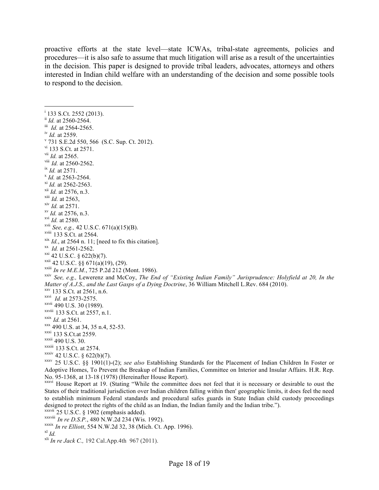proactive efforts at the state level—state ICWAs, tribal-state agreements, policies and procedures—it is also safe to assume that much litigation will arise as a result of the uncertainties in the decision. This paper is designed to provide tribal leaders, advocates, attorneys and others interested in Indian child welfare with an understanding of the decision and some possible tools to respond to the decision.

|<br>i  $\frac{1}{1}$  133 S.Ct. 2552 (2013).<br> $\frac{1}{1}$  *Id.* at 2560-2564. iii *Id.* at 2564-2565. iv *Id.* at 2559.<br>
<sup>v</sup> 731 S.E.2d 550, 566 (S.C. Sup. Ct. 2012).<br>
<sup>vi</sup> 133 S.Ct. at 2571. <sup>vii</sup> *Id.* at 2565.<br><sup>viii</sup> *Id.* at 2560-2562. <sup>ix</sup> *Id.* at 2571.<br><sup>x</sup> *Id.* at 2563-2564.<br><sup>xi</sup> *Id.* at 2562-2563.<br><sup>xii</sup> *Id.* at 2576, n.3.<br>*x*ii *Id.* at 2563, xiv *Id.* at 2571. xv *Id.* at 2576, n.3. xvi *Id.* at 2580. <sup>xvii</sup> *See, e.g.,* 42 U.S.C. 671(a)(15)(B).<br><sup>xviii</sup> 133 S.Ct. at 2564. <sup>xix</sup> *Id.*, at 2564 n. 11; [need to fix this citation].<br>
<sup>xx</sup> *Id.* at 2561-2562.<br>
<sup>xxi</sup> 42 U.S.C. § 622(b)(7).<br>
<sup>xxii</sup> 42 U.S.C. §§ 671(a)(19), (29).<br>
<sup>xxii</sup> *In re M.E.M.*, 725 P.2d 212 (Mont. 1986). xxiv *See, e.g.,* Lewerenz and McCoy, *The End of "Existing Indian Family" Jurisprudence: Holyfield at 20, In the Matter of A.J.S., and the Last Gasps of a Dying Doctrine*, 36 William Mitchell L.Rev. 684 (2010). <br>xxv 133 S.Ct. at 2561, n.6. xxvi *Id.* at 2573-2575. <sup>xxvii</sup> 490 U.S. 30 (1989).<br><sup>xxviii</sup> 133 S.Ct. at 2557, n.1. xxix *Id.* at 2561.<br>xxx 490 U.S. at 34, 35 n.4, 52-53.<br>xxxi<sup>1</sup> 133 S.Ct.at 2559.<br>xxxiii 490 U.S. 30.<br>xxxiii 133 S.Ct. at 2574.<br>xxxiv 42 U.S.C. § 622(b)(7).  $xxxv$  25 U.S.C. §§ 1901(1)-(2); *see also* Establishing Standards for the Placement of Indian Children In Foster or Adoptive Homes, To Prevent the Breakup of Indian Families, Committee on Interior and Insular Affairs. H.R. Rep. No. 95-1368, at 13-18 (1978) (Hereinafter House Report). xxxvi House Report at 19. (Stating "While the committee does not feel that it is necessary or desirable to oust the States of their traditional jurisdiction over Indian children falling within then' geographic limits, it does feel the need to establish minimum Federal standards and procedural safes guards in State Indian child custody proceedings

designed to protect the rights of the child as an Indian, the Indian family and the Indian tribe.").

 $\frac{\text{xxxvii}}{25}$  U.S.C. § 1902 (emphasis added).<br> $\frac{\text{xxxviii}}{25}$  *In re D.S.P.*, 480 N.W.2d 234 (Wis. 1992).

xxxix *In re Elliott*, 554 N.W.2d 32, 38 (Mich. Ct. App. 1996).<br><sup>xl</sup> *Id. In re Jack C.*, 192 Cal.App.4th 967 (2011).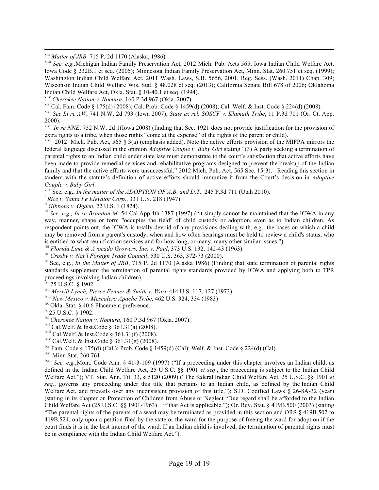<sup>xlii</sup> *Matter of JRB*, 715 P. 2d 1170 (Alaska, 1986).<br><sup>xliii</sup> *See, e.g.*,Michigan Indian Family Preservation Act, 2012 Mich. Pub. Acts 565; Iowa Indian Child Welfare Act, Iowa Code § 232B.1 et seq. (2005); Minnesota Indian Family Preservation Act, Minn. Stat. 260.751 et seq. (1999); Washington Indian Child Welfare Act, 2011 Wash. Laws, S.B. 5656, 2001, Reg. Sess. (Wash. 2011) Chap. 309; Wisconsin Indian Child Welfare Wis. Stat. § 48.028 et seq. (2013); California Senate Bill 678 of 2006; Oklahoma Indian Child Welfare Act, Okla. Stat. § 10-40.1 et seq. (1994).

xliv *Cherokee Nation v. Nomura*, 160 P.3d 967 (Okla. 2007)

 $x^{1}$  Cal. Fam. Code § 175(d) (2008); Cal. Prob. Code § 1459(d) (2008); Cal. Welf. & Inst. Code § 224(d) (2008).

xlvi *See In re AW*, 741 N.W. 2d 793 (Iowa 2007); *State ex rel. SOSCF v. Klamath Tribe*, 11 P.3d 701 (Or. Ct. App. 2000).

xlvii *In re NNE*, 752 N.W. 2d 1(Iowa 2008) (finding that Sec. 1921 does not provide justification for the provision of extra rights to a tribe, when those rights "come at the expense" of the rights of the parent or child).

 $x$ lviii 2012 Mich. Pub. Act, 565 § 3(a) (emphasis added). Note the active efforts provision of the MIFPA mirrors the federal language discussed in the opinion *Adoptive Couple v. Baby Girl* stating "(3) A party seeking a termination of parental rights to an Indian child under state law must demonstrate to the court's satisfaction that active efforts have been made to provide remedial services and rehabilitative programs designed to prevent the breakup of the Indian family and that the active efforts were unsuccessful." 2012 Mich. Pub. Act, 565 Sec. 15(3). Reading this section in tandem with the statute's definition of active efforts should immunize it from the Court's decision in *Adoptive Couple v. Baby Girl. xlix See, e.g., In the matter of the ADOPTION OF A.B. and D.T., 245 P.3d 711 (Utah 2010).* <sup>1</sup> *Rice v. Santa Fe Elevator Corp., 331 U.S. 218 (1947).* 

<sup>li</sup> Gibbons v. Ogden, 22 U.S. 1 (1824).<br><sup>lii</sup> See, e.g., *In re Brandon M.* 54 Cal.App.4th 1387 (1997) ("it simply cannot be maintained that the ICWA in any way, manner, shape or form "occupies the field" of child custody or adoption, even as to Indian children. As respondent points out, the ICWA is totally devoid of any provisions dealing with, e.g., the bases on which a child may be removed from a parent's custody, when and how often hearings must be held to review a child's status, who is entitled to what reunification services and for how long, or many, many other similar issues.").

<sup>liii</sup> Florida Lime & Avocado Growers, Inc. v. Paul, 373 U.S. 132, 142-43 (1963).

liv *Crosby v. Nat'l Foreign Trade Council*, 530 U.S. 363, 372-73 (2000).

lv See, e.g., *In the Matter of JRB*, 715 P. 2d 1170 (Alaska 1986) (Finding that state termination of parental rights standards supplement the termination of parental rights standards provided by ICWA and applying both to TPR proceedings involving Indian children).

 $\frac{N_{\text{N}}}{25}$  U.S.C. § 1902

lvii *Merrill Lynch, Pierce Fenner & Smith v. Ware* 414 U.S. 117, 127 (1973).

<sup>Iviii</sup> *New Mexico v. Mescalero Apache Tribe*, 462 U.S. 324, 334 (1983)<br>
<sup>Iix</sup> Okla. Stat. § 40.6 Placement preference.<br>
<sup>Ix</sup> 25 U.S.C. § 1902.<br>
<sup>Ixi</sup> *Cherokee Nation v. Nomura*, 160 P.3d 967 (Okla. 2007).<br>
<sup>Ixii</sup> Cal.W

<sup>lxv</sup> Fam. Code § 175(d) (Cal.); Prob. Code § 1459(d) (Cal); Welf. & Inst. Code § 224(d) (Cal).

lxvi Minn Stat. 260.761.

lxvii *See, e.g.*,Mont. Code Ann. § 41-3-109 (1997) ("If a proceeding under this chapter involves an Indian child, as defined in the Indian Child Welfare Act, 25 U.S.C. §§ 1901 *et seq*., the proceeding is subject to the Indian Child Welfare Act."); VT. Stat. Ann. Tit. 33, § 5120 (2009) ("The federal Indian Child Welfare Act, 25 U.S.C. §§ 1901 *et seq.*, governs any proceeding under this title that pertains to an Indian child, as defined by the Indian Child Welfare Act, and prevails over any inconsistent provision of this title."); S.D. Codified Laws § 26-8A-32 (year) (stating in its chapter on Protection of Children from Abuse or Neglect "Due regard shall be afforded to the Indian Child Welfare Act (25 U.S.C. §§ 1901-1963)…if that Act is applicable."); Or. Rev. Stat. § 419B.500 (2003) (stating "The parental rights of the parents of a ward may be terminated as provided in this section and ORS § 419B.502 to 419B.524, only upon a petition filed by the state or the ward for the purpose of freeing the ward for adoption if the court finds it is in the best interest of the ward. If an Indian child is involved, the termination of parental rights must be in compliance with the Indian Child Welfare Act.").